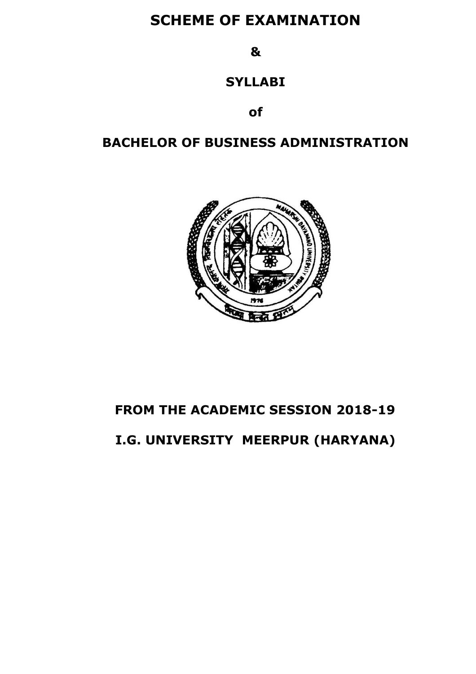# **SCHEME OF EXAMINATION**

**&** 

# **SYLLABI**

**of**

# **BACHELOR OF BUSINESS ADMINISTRATION**



# **FROM THE ACADEMIC SESSION 2018-19**

# **I.G. UNIVERSITY MEERPUR (HARYANA)**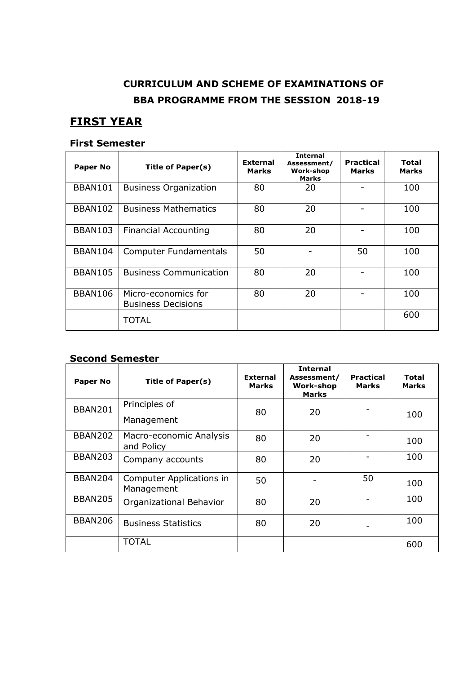# **CURRICULUM AND SCHEME OF EXAMINATIONS OF BBA PROGRAMME FROM THE SESSION 2018-19**

# **FIRST YEAR**

### **First Semester**

| <b>Paper No</b> | <b>Title of Paper(s)</b>                         | <b>External</b><br><b>Marks</b> | <b>Internal</b><br>Assessment/<br><b>Work-shop</b><br><b>Marks</b> | <b>Practical</b><br><b>Marks</b> | Total<br><b>Marks</b> |
|-----------------|--------------------------------------------------|---------------------------------|--------------------------------------------------------------------|----------------------------------|-----------------------|
| BBAN101         | <b>Business Organization</b>                     | 80                              | 20                                                                 |                                  | 100                   |
| <b>BBAN102</b>  | <b>Business Mathematics</b>                      | 80                              | 20                                                                 |                                  | 100                   |
| <b>BBAN103</b>  | <b>Financial Accounting</b>                      | 80                              | 20                                                                 |                                  | 100                   |
| <b>BBAN104</b>  | <b>Computer Fundamentals</b>                     | 50                              |                                                                    | 50                               | 100                   |
| <b>BBAN105</b>  | <b>Business Communication</b>                    | 80                              | 20                                                                 |                                  | 100                   |
| <b>BBAN106</b>  | Micro-economics for<br><b>Business Decisions</b> | 80                              | 20                                                                 |                                  | 100                   |
|                 | TOTAL                                            |                                 |                                                                    |                                  | 600                   |

### **Second Semester**

| <b>Paper No</b> | <b>Title of Paper(s)</b>               | <b>External</b><br><b>Marks</b> | <b>Internal</b><br>Assessment/<br>Work-shop<br><b>Marks</b> | <b>Practical</b><br><b>Marks</b> | Total<br><b>Marks</b> |
|-----------------|----------------------------------------|---------------------------------|-------------------------------------------------------------|----------------------------------|-----------------------|
| <b>BBAN201</b>  | Principles of<br>Management            | 80                              | 20                                                          |                                  | 100                   |
| <b>BBAN202</b>  | Macro-economic Analysis<br>and Policy  | 80                              | 20                                                          |                                  | 100                   |
| <b>BBAN203</b>  | Company accounts                       | 80                              | 20                                                          |                                  | 100                   |
| BBAN204         | Computer Applications in<br>Management | 50                              |                                                             | 50                               | 100                   |
| <b>BBAN205</b>  | Organizational Behavior                | 80                              | 20                                                          |                                  | 100                   |
| <b>BBAN206</b>  | <b>Business Statistics</b>             | 80                              | 20                                                          |                                  | 100                   |
|                 | TOTAL                                  |                                 |                                                             |                                  | 600                   |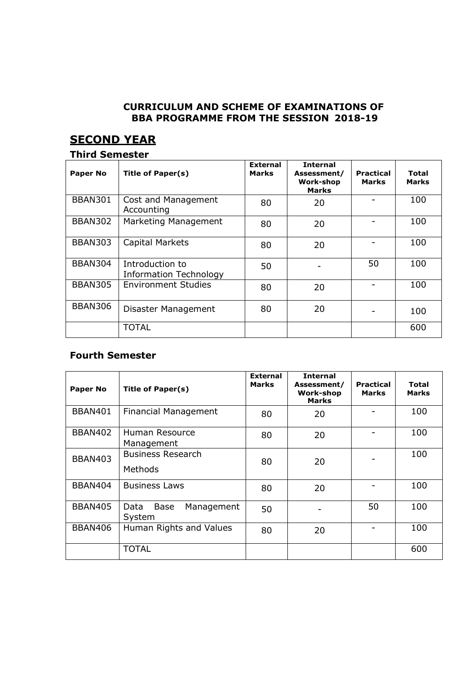### **CURRICULUM AND SCHEME OF EXAMINATIONS OF BBA PROGRAMME FROM THE SESSION 2018-19**

# **SECOND YEAR**

### **Third Semester**

| <b>Paper No</b> | <b>Title of Paper(s)</b>                         | <b>External</b><br><b>Marks</b> | <b>Internal</b><br>Assessment/<br><b>Work-shop</b><br><b>Marks</b> | Practical<br><b>Marks</b> | Total<br><b>Marks</b> |
|-----------------|--------------------------------------------------|---------------------------------|--------------------------------------------------------------------|---------------------------|-----------------------|
| <b>BBAN301</b>  | Cost and Management<br>Accounting                | 80                              | 20                                                                 |                           | 100                   |
| <b>BBAN302</b>  | Marketing Management                             | 80                              | 20                                                                 |                           | 100                   |
| <b>BBAN303</b>  | Capital Markets                                  | 80                              | 20                                                                 |                           | 100                   |
| <b>BBAN304</b>  | Introduction to<br><b>Information Technology</b> | 50                              |                                                                    | 50                        | 100                   |
| <b>BBAN305</b>  | <b>Environment Studies</b>                       | 80                              | 20                                                                 |                           | 100                   |
| <b>BBAN306</b>  | Disaster Management                              | 80                              | 20                                                                 |                           | 100                   |
|                 | <b>TOTAL</b>                                     |                                 |                                                                    |                           | 600                   |

### **Fourth Semester**

| <b>Paper No</b> | Title of Paper(s)                           | <b>External</b><br><b>Marks</b> | <b>Internal</b><br>Assessment/<br><b>Work-shop</b><br><b>Marks</b> | <b>Practical</b><br><b>Marks</b> | Total<br><b>Marks</b> |
|-----------------|---------------------------------------------|---------------------------------|--------------------------------------------------------------------|----------------------------------|-----------------------|
| BBAN401         | <b>Financial Management</b>                 | 80                              | 20                                                                 |                                  | 100                   |
| <b>BBAN402</b>  | Human Resource<br>Management                | 80                              | 20                                                                 |                                  | 100                   |
| <b>BBAN403</b>  | <b>Business Research</b><br>Methods         | 80                              | 20                                                                 |                                  | 100                   |
| <b>BBAN404</b>  | <b>Business Laws</b>                        | 80                              | 20                                                                 |                                  | 100                   |
| <b>BBAN405</b>  | Data<br><b>Base</b><br>Management<br>System | 50                              |                                                                    | 50                               | 100                   |
| <b>BBAN406</b>  | Human Rights and Values                     | 80                              | 20                                                                 |                                  | 100                   |
|                 | <b>TOTAL</b>                                |                                 |                                                                    |                                  | 600                   |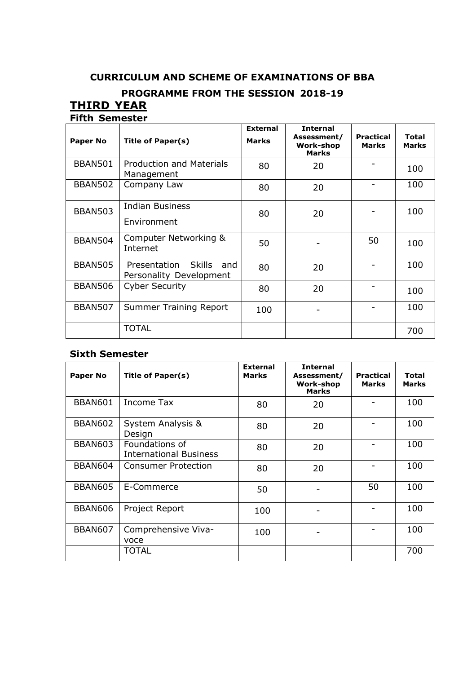# **CURRICULUM AND SCHEME OF EXAMINATIONS OF BBA**

# **PROGRAMME FROM THE SESSION 2018-19**

### **THIRD YEAR Fifth Semester**

|                 |                                                                 | <b>External</b> | <b>Internal</b>                                 |                                  |                       |
|-----------------|-----------------------------------------------------------------|-----------------|-------------------------------------------------|----------------------------------|-----------------------|
| <b>Paper No</b> | Title of Paper(s)                                               | <b>Marks</b>    | Assessment/<br><b>Work-shop</b><br><b>Marks</b> | <b>Practical</b><br><b>Marks</b> | Total<br><b>Marks</b> |
| <b>BBAN501</b>  | <b>Production and Materials</b><br>Management                   | 80              | 20                                              |                                  | 100                   |
| <b>BBAN502</b>  | Company Law                                                     | 80              | 20                                              |                                  | 100                   |
| <b>BBAN503</b>  | <b>Indian Business</b>                                          | 80              | 20                                              |                                  | 100                   |
|                 | Environment                                                     |                 |                                                 |                                  |                       |
| <b>BBAN504</b>  | Computer Networking &<br>Internet                               | 50              |                                                 | 50                               | 100                   |
| <b>BBAN505</b>  | <b>Skills</b><br>Presentation<br>and<br>Personality Development | 80              | 20                                              |                                  | 100                   |
| <b>BBAN506</b>  | <b>Cyber Security</b>                                           | 80              | 20                                              |                                  | 100                   |
| <b>BBAN507</b>  | <b>Summer Training Report</b>                                   | 100             |                                                 |                                  | 100                   |
|                 | <b>TOTAL</b>                                                    |                 |                                                 |                                  | 700                   |

### **Sixth Semester**

| <b>Paper No</b> | <b>Title of Paper(s)</b>                        | <b>External</b><br><b>Marks</b> | <b>Internal</b><br>Assessment/<br><b>Work-shop</b><br><b>Marks</b> | <b>Practical</b><br><b>Marks</b> | Total<br><b>Marks</b> |
|-----------------|-------------------------------------------------|---------------------------------|--------------------------------------------------------------------|----------------------------------|-----------------------|
| <b>BBAN601</b>  | <b>Income Tax</b>                               | 80                              | 20                                                                 |                                  | 100                   |
| <b>BBAN602</b>  | System Analysis &<br>Design                     | 80                              | 20                                                                 |                                  | 100                   |
| <b>BBAN603</b>  | Foundations of<br><b>International Business</b> | 80                              | 20                                                                 |                                  | 100                   |
| <b>BBAN604</b>  | Consumer Protection                             | 80                              | 20                                                                 |                                  | 100                   |
| BBAN605         | E-Commerce                                      | 50                              |                                                                    | 50                               | 100                   |
| <b>BBAN606</b>  | Project Report                                  | 100                             |                                                                    |                                  | 100                   |
| <b>BBAN607</b>  | Comprehensive Viva-<br>voce                     | 100                             |                                                                    |                                  | 100                   |
|                 | TOTAL                                           |                                 |                                                                    |                                  | 700                   |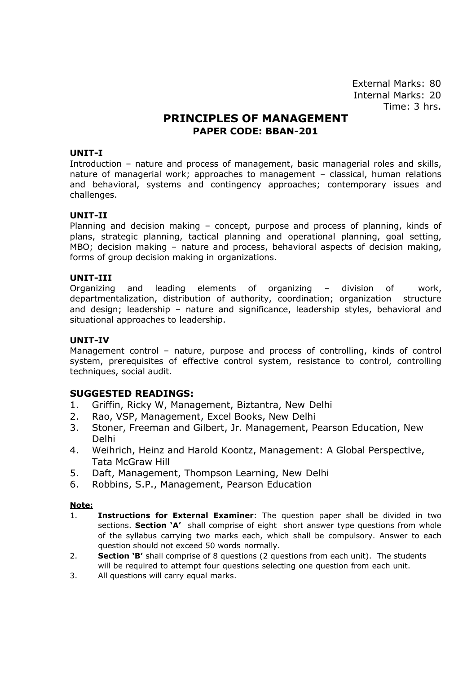# **PRINCIPLES OF MANAGEMENT PAPER CODE: BBAN-201**

### **UNIT-I**

Introduction – nature and process of management, basic managerial roles and skills, nature of managerial work; approaches to management – classical, human relations and behavioral, systems and contingency approaches; contemporary issues and challenges.

#### **UNIT-II**

Planning and decision making – concept, purpose and process of planning, kinds of plans, strategic planning, tactical planning and operational planning, goal setting, MBO; decision making – nature and process, behavioral aspects of decision making, forms of group decision making in organizations.

#### **UNIT-III**

Organizing and leading elements of organizing – division of work, departmentalization, distribution of authority, coordination; organization structure and design; leadership – nature and significance, leadership styles, behavioral and situational approaches to leadership.

#### **UNIT-IV**

Management control – nature, purpose and process of controlling, kinds of control system, prerequisites of effective control system, resistance to control, controlling techniques, social audit.

### **SUGGESTED READINGS:**

- 1. Griffin, Ricky W, Management, Biztantra, New Delhi
- 2. Rao, VSP, Management, Excel Books, New Delhi
- 3. Stoner, Freeman and Gilbert, Jr. Management, Pearson Education, New Delhi
- 4. Weihrich, Heinz and Harold Koontz, Management: A Global Perspective, Tata McGraw Hill
- 5. Daft, Management, Thompson Learning, New Delhi
- 6. Robbins, S.P., Management, Pearson Education

- 1. **Instructions for External Examiner**: The question paper shall be divided in two sections. **Section 'A'** shall comprise of eight short answer type questions from whole of the syllabus carrying two marks each, which shall be compulsory. Answer to each question should not exceed 50 words normally.
- 2. **Section 'B'** shall comprise of 8 questions (2 questions from each unit). The students will be required to attempt four questions selecting one question from each unit.
- 3. All questions will carry equal marks.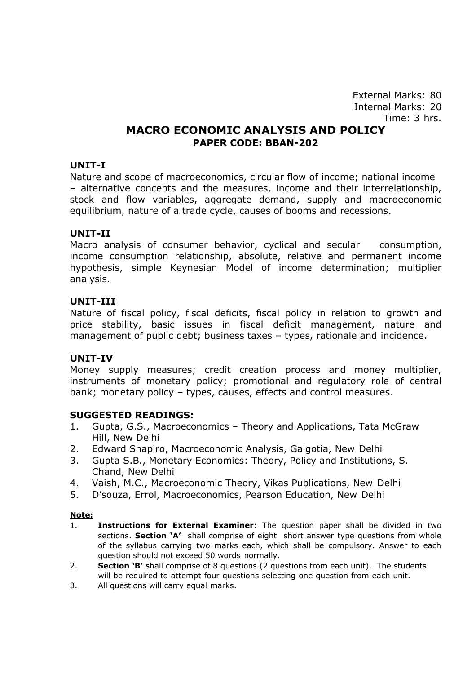## **MACRO ECONOMIC ANALYSIS AND POLICY PAPER CODE: BBAN-202**

### **UNIT-I**

Nature and scope of macroeconomics, circular flow of income; national income – alternative concepts and the measures, income and their interrelationship, stock and flow variables, aggregate demand, supply and macroeconomic equilibrium, nature of a trade cycle, causes of booms and recessions.

### **UNIT-II**

Macro analysis of consumer behavior, cyclical and secular consumption, income consumption relationship, absolute, relative and permanent income hypothesis, simple Keynesian Model of income determination; multiplier analysis.

### **UNIT-III**

Nature of fiscal policy, fiscal deficits, fiscal policy in relation to growth and price stability, basic issues in fiscal deficit management, nature and management of public debt; business taxes – types, rationale and incidence.

### **UNIT-IV**

Money supply measures; credit creation process and money multiplier, instruments of monetary policy; promotional and regulatory role of central bank; monetary policy – types, causes, effects and control measures.

### **SUGGESTED READINGS:**

- 1. Gupta, G.S., Macroeconomics Theory and Applications, Tata McGraw Hill, New Delhi
- 2. Edward Shapiro, Macroeconomic Analysis, Galgotia, New Delhi
- 3. Gupta S.B., Monetary Economics: Theory, Policy and Institutions, S. Chand, New Delhi
- 4. Vaish, M.C., Macroeconomic Theory, Vikas Publications, New Delhi
- 5. D'souza, Errol, Macroeconomics, Pearson Education, New Delhi

- 1. **Instructions for External Examiner**: The question paper shall be divided in two sections. **Section 'A'** shall comprise of eight short answer type questions from whole of the syllabus carrying two marks each, which shall be compulsory. Answer to each question should not exceed 50 words normally.
- 2. **Section 'B'** shall comprise of 8 questions (2 questions from each unit). The students will be required to attempt four questions selecting one question from each unit.
- 3. All questions will carry equal marks.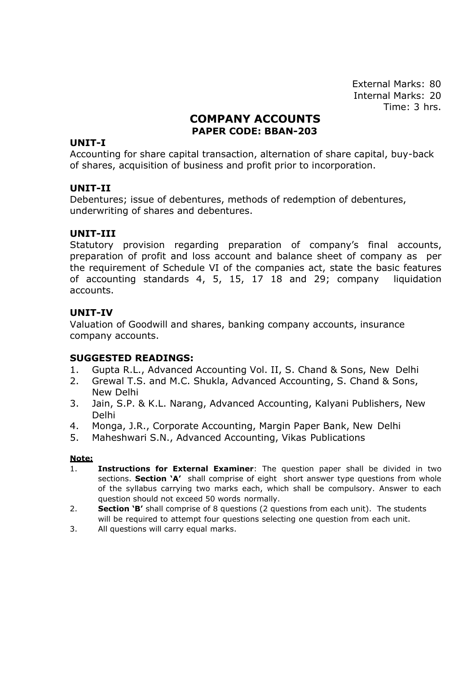# **COMPANY ACCOUNTS PAPER CODE: BBAN-203**

### **UNIT-I**

Accounting for share capital transaction, alternation of share capital, buy-back of shares, acquisition of business and profit prior to incorporation.

### **UNIT-II**

Debentures; issue of debentures, methods of redemption of debentures, underwriting of shares and debentures.

### **UNIT-III**

Statutory provision regarding preparation of company's final accounts, preparation of profit and loss account and balance sheet of company as per the requirement of Schedule VI of the companies act, state the basic features of accounting standards 4, 5, 15, 17 18 and 29; company liquidation accounts.

### **UNIT-IV**

Valuation of Goodwill and shares, banking company accounts, insurance company accounts.

### **SUGGESTED READINGS:**

- 1. Gupta R.L., Advanced Accounting Vol. II, S. Chand & Sons, New Delhi
- 2. Grewal T.S. and M.C. Shukla, Advanced Accounting, S. Chand & Sons, New Delhi
- 3. Jain, S.P. & K.L. Narang, Advanced Accounting, Kalyani Publishers, New Delhi
- 4. Monga, J.R., Corporate Accounting, Margin Paper Bank, New Delhi
- 5. Maheshwari S.N., Advanced Accounting, Vikas Publications

- 1. **Instructions for External Examiner**: The question paper shall be divided in two sections. **Section 'A'** shall comprise of eight short answer type questions from whole of the syllabus carrying two marks each, which shall be compulsory. Answer to each question should not exceed 50 words normally.
- 2. **Section 'B'** shall comprise of 8 questions (2 questions from each unit). The students will be required to attempt four questions selecting one question from each unit.
- 3. All questions will carry equal marks.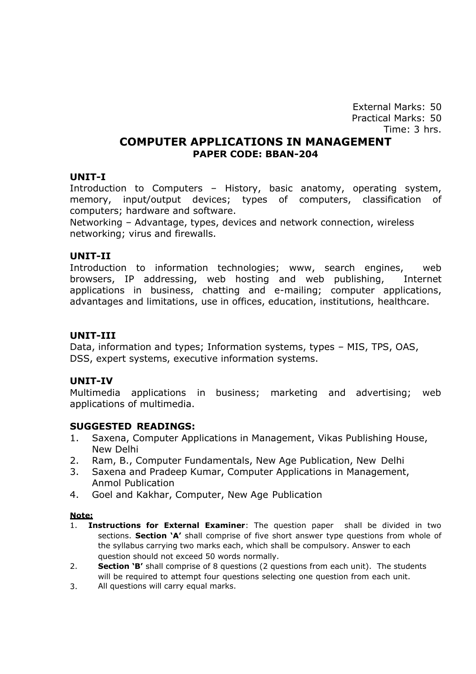External Marks: 50 Practical Marks: 50 Time: 3 hrs.

### **COMPUTER APPLICATIONS IN MANAGEMENT PAPER CODE: BBAN-204**

### **UNIT-I**

Introduction to Computers – History, basic anatomy, operating system, memory, input/output devices; types of computers, classification of computers; hardware and software.

Networking – Advantage, types, devices and network connection, wireless networking; virus and firewalls.

### **UNIT-II**

Introduction to information technologies; www, search engines, web browsers, IP addressing, web hosting and web publishing, Internet applications in business, chatting and e-mailing; computer applications, advantages and limitations, use in offices, education, institutions, healthcare.

### **UNIT-III**

Data, information and types; Information systems, types – MIS, TPS, OAS, DSS, expert systems, executive information systems.

### **UNIT-IV**

Multimedia applications in business; marketing and advertising; web applications of multimedia.

### **SUGGESTED READINGS:**

- 1. Saxena, Computer Applications in Management, Vikas Publishing House, New Delhi
- 2. Ram, B., Computer Fundamentals, New Age Publication, New Delhi
- 3. Saxena and Pradeep Kumar, Computer Applications in Management, Anmol Publication
- 4. Goel and Kakhar, Computer, New Age Publication

- question should not exceed 50 words normally. 1. **Instructions for External Examiner**: The question paper shall be divided in two sections. **Section 'A'** shall comprise of five short answer type questions from whole of the syllabus carrying two marks each, which shall be compulsory. Answer to each
- **Section 'B'** shall comprise of 8 questions (2 questions from each unit). The students will be required to attempt four questions selecting one question from each unit. 2.
- All questions will carry equal marks. 3.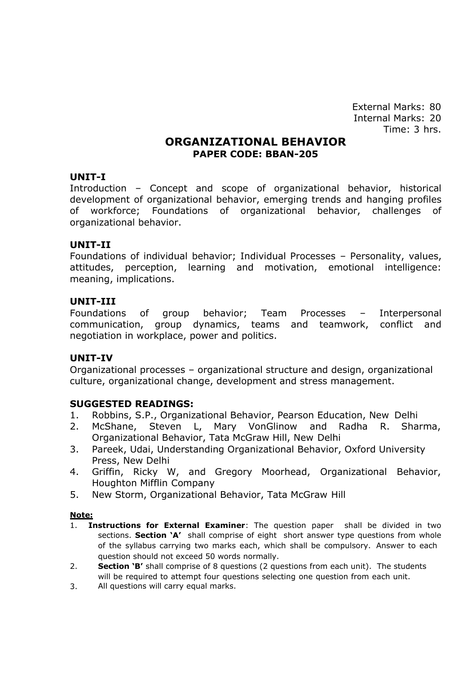### **ORGANIZATIONAL BEHAVIOR PAPER CODE: BBAN-205**

### **UNIT-I**

Introduction – Concept and scope of organizational behavior, historical development of organizational behavior, emerging trends and hanging profiles of workforce; Foundations of organizational behavior, challenges of organizational behavior.

### **UNIT-II**

Foundations of individual behavior; Individual Processes – Personality, values, attitudes, perception, learning and motivation, emotional intelligence: meaning, implications.

### **UNIT-III**

Foundations of group behavior; Team Processes – Interpersonal communication, group dynamics, teams and teamwork, conflict and negotiation in workplace, power and politics.

### **UNIT-IV**

Organizational processes – organizational structure and design, organizational culture, organizational change, development and stress management.

### **SUGGESTED READINGS:**

- 1. Robbins, S.P., Organizational Behavior, Pearson Education, New Delhi
- 2. McShane, Steven L, Mary VonGlinow and Radha R. Sharma, Organizational Behavior, Tata McGraw Hill, New Delhi
- 3. Pareek, Udai, Understanding Organizational Behavior, Oxford University Press, New Delhi
- 4. Griffin, Ricky W, and Gregory Moorhead, Organizational Behavior, Houghton Mifflin Company
- 5. New Storm, Organizational Behavior, Tata McGraw Hill

- question should not exceed 50 words normally. 1. **Instructions for External Examiner**: The question paper shall be divided in two sections. **Section 'A'** shall comprise of eight short answer type questions from whole of the syllabus carrying two marks each, which shall be compulsory. Answer to each
- **Section 'B'** shall comprise of 8 questions (2 questions from each unit). The students will be required to attempt four questions selecting one question from each unit. 2.
- All questions will carry equal marks. 3.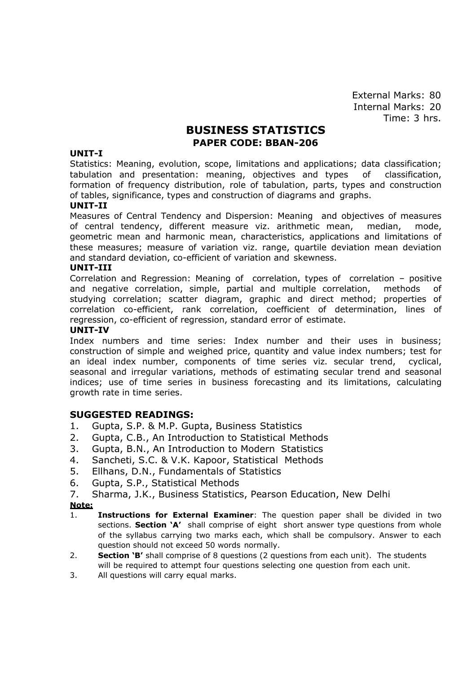# **BUSINESS STATISTICS PAPER CODE: BBAN-206**

#### **UNIT-I**

Statistics: Meaning, evolution, scope, limitations and applications; data classification; tabulation and presentation: meaning, objectives and types of classification, formation of frequency distribution, role of tabulation, parts, types and construction of tables, significance, types and construction of diagrams and graphs.

#### **UNIT-II**

Measures of Central Tendency and Dispersion: Meaning and objectives of measures of central tendency, different measure viz. arithmetic mean, median, mode, geometric mean and harmonic mean, characteristics, applications and limitations of these measures; measure of variation viz. range, quartile deviation mean deviation and standard deviation, co-efficient of variation and skewness.

#### **UNIT-III**

Correlation and Regression: Meaning of correlation, types of correlation – positive and negative correlation, simple, partial and multiple correlation, methods of studying correlation; scatter diagram, graphic and direct method; properties of correlation co-efficient, rank correlation, coefficient of determination, lines of regression, co-efficient of regression, standard error of estimate.

#### **UNIT-IV**

Index numbers and time series: Index number and their uses in business; construction of simple and weighed price, quantity and value index numbers; test for an ideal index number, components of time series viz. secular trend, cyclical, seasonal and irregular variations, methods of estimating secular trend and seasonal indices; use of time series in business forecasting and its limitations, calculating growth rate in time series.

### **SUGGESTED READINGS:**

- 1. Gupta, S.P. & M.P. Gupta, Business Statistics
- 2. Gupta, C.B., An Introduction to Statistical Methods
- 3. Gupta, B.N., An Introduction to Modern Statistics
- 4. Sancheti, S.C. & V.K. Kapoor, Statistical Methods
- 5. Ellhans, D.N., Fundamentals of Statistics
- 6. Gupta, S.P., Statistical Methods
- 7. Sharma, J.K., Business Statistics, Pearson Education, New Delhi **Note:**
- 1. **Instructions for External Examiner**: The question paper shall be divided in two sections. **Section 'A'** shall comprise of eight short answer type questions from whole of the syllabus carrying two marks each, which shall be compulsory. Answer to each question should not exceed 50 words normally.
- 2. **Section 'B'** shall comprise of 8 questions (2 questions from each unit). The students will be required to attempt four questions selecting one question from each unit.
- 3. All questions will carry equal marks.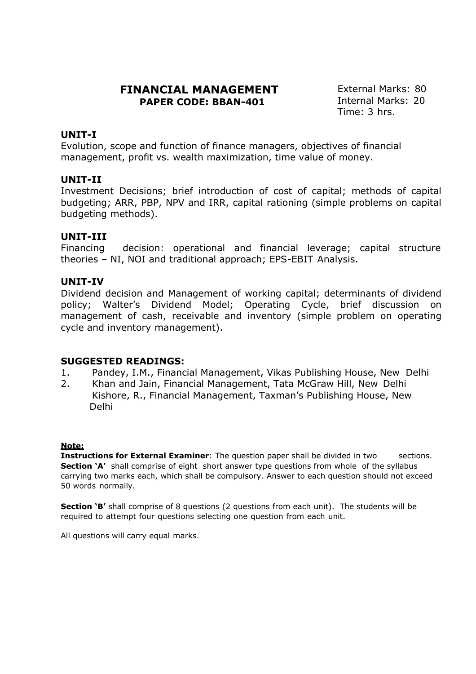## **FINANCIAL MANAGEMENT PAPER CODE: BBAN-401**

External Marks: 80 Internal Marks: 20 Time: 3 hrs.

### **UNIT-I**

Evolution, scope and function of finance managers, objectives of financial management, profit vs. wealth maximization, time value of money.

### **UNIT-II**

Investment Decisions; brief introduction of cost of capital; methods of capital budgeting; ARR, PBP, NPV and IRR, capital rationing (simple problems on capital budgeting methods).

### **UNIT-III**

Financing decision: operational and financial leverage; capital structure theories – NI, NOI and traditional approach; EPS-EBIT Analysis.

### **UNIT-IV**

Dividend decision and Management of working capital; determinants of dividend policy; Walter's Dividend Model; Operating Cycle, brief discussion on management of cash, receivable and inventory (simple problem on operating cycle and inventory management).

### **SUGGESTED READINGS:**

- 1. Pandey, I.M., Financial Management, Vikas Publishing House, New Delhi
- 2. Khan and Jain, Financial Management, Tata McGraw Hill, New Delhi Kishore, R., Financial Management, Taxman's Publishing House, New Delhi

### **Note:**

**Instructions for External Examiner**: The question paper shall be divided in two sections. **Section 'A'** shall comprise of eight short answer type questions from whole of the syllabus carrying two marks each, which shall be compulsory. Answer to each question should not exceed 50 words normally.

**Section 'B'** shall comprise of 8 questions (2 questions from each unit). The students will be required to attempt four questions selecting one question from each unit.

All questions will carry equal marks.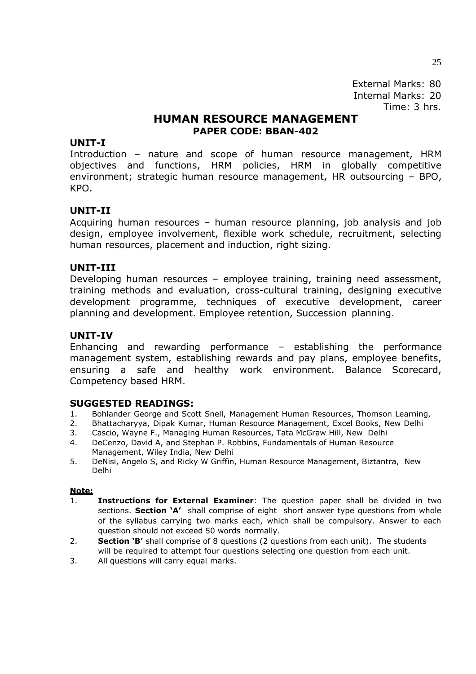## **HUMAN RESOURCE MANAGEMENT PAPER CODE: BBAN-402**

### **UNIT-I**

Introduction – nature and scope of human resource management, HRM objectives and functions, HRM policies, HRM in globally competitive environment; strategic human resource management, HR outsourcing – BPO, KPO.

### **UNIT-II**

Acquiring human resources – human resource planning, job analysis and job design, employee involvement, flexible work schedule, recruitment, selecting human resources, placement and induction, right sizing.

### **UNIT-III**

Developing human resources – employee training, training need assessment, training methods and evaluation, cross-cultural training, designing executive development programme, techniques of executive development, career planning and development. Employee retention, Succession planning.

### **UNIT-IV**

Enhancing and rewarding performance – establishing the performance management system, establishing rewards and pay plans, employee benefits, ensuring a safe and healthy work environment. Balance Scorecard, Competency based HRM.

### **SUGGESTED READINGS:**

- 1. Bohlander George and Scott Snell, Management Human Resources, Thomson Learning,
- 2. Bhattacharyya, Dipak Kumar, Human Resource Management, Excel Books, New Delhi
- 3. Cascio, Wayne F., Managing Human Resources, Tata McGraw Hill, New Delhi
- 4. DeCenzo, David A, and Stephan P. Robbins, Fundamentals of Human Resource Management, Wiley India, New Delhi
- 5. DeNisi, Angelo S, and Ricky W Griffin, Human Resource Management, Biztantra, New Delhi

- 1. **Instructions for External Examiner**: The question paper shall be divided in two sections. **Section 'A'** shall comprise of eight short answer type questions from whole of the syllabus carrying two marks each, which shall be compulsory. Answer to each question should not exceed 50 words normally.
- 2. **Section 'B'** shall comprise of 8 questions (2 questions from each unit). The students will be required to attempt four questions selecting one question from each unit.
- 3. All questions will carry equal marks.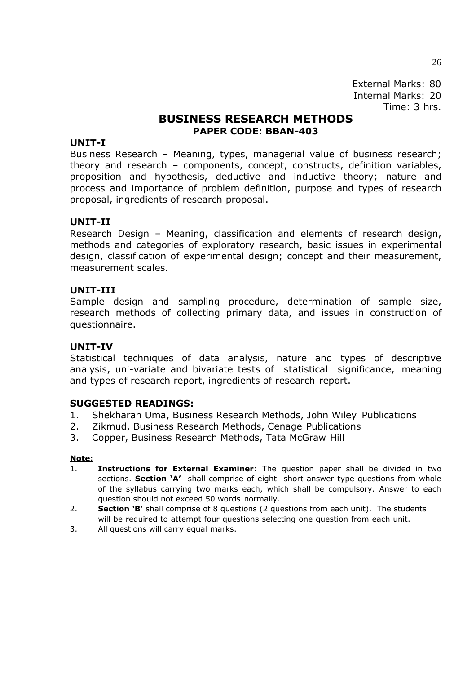# **BUSINESS RESEARCH METHODS PAPER CODE: BBAN-403**

### **UNIT-I**

Business Research – Meaning, types, managerial value of business research; theory and research – components, concept, constructs, definition variables, proposition and hypothesis, deductive and inductive theory; nature and process and importance of problem definition, purpose and types of research proposal, ingredients of research proposal.

### **UNIT-II**

Research Design – Meaning, classification and elements of research design, methods and categories of exploratory research, basic issues in experimental design, classification of experimental design; concept and their measurement, measurement scales.

### **UNIT-III**

Sample design and sampling procedure, determination of sample size, research methods of collecting primary data, and issues in construction of questionnaire.

### **UNIT-IV**

Statistical techniques of data analysis, nature and types of descriptive analysis, uni-variate and bivariate tests of statistical significance, meaning and types of research report, ingredients of research report.

### **SUGGESTED READINGS:**

- 1. Shekharan Uma, Business Research Methods, John Wiley Publications
- 2. Zikmud, Business Research Methods, Cenage Publications
- 3. Copper, Business Research Methods, Tata McGraw Hill

- 1. **Instructions for External Examiner**: The question paper shall be divided in two sections. **Section 'A'** shall comprise of eight short answer type questions from whole of the syllabus carrying two marks each, which shall be compulsory. Answer to each question should not exceed 50 words normally.
- 2. **Section 'B'** shall comprise of 8 questions (2 questions from each unit). The students will be required to attempt four questions selecting one question from each unit.
- 3. All questions will carry equal marks.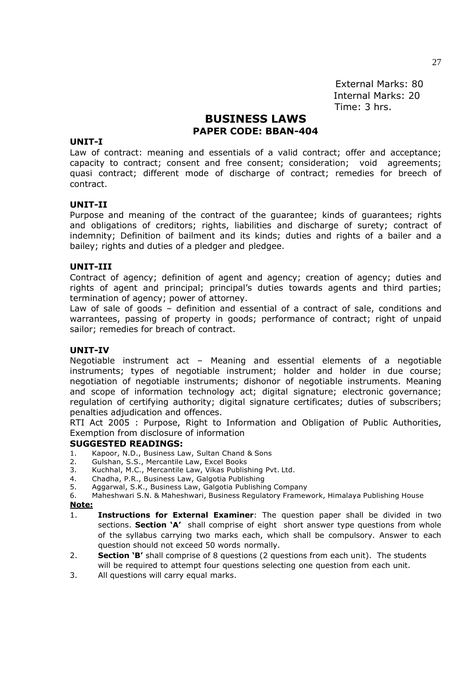# **BUSINESS LAWS PAPER CODE: BBAN-404**

#### **UNIT-I**

Law of contract: meaning and essentials of a valid contract; offer and acceptance; capacity to contract; consent and free consent; consideration; void agreements; quasi contract; different mode of discharge of contract; remedies for breech of contract.

#### **UNIT-II**

Purpose and meaning of the contract of the guarantee; kinds of guarantees; rights and obligations of creditors; rights, liabilities and discharge of surety; contract of indemnity; Definition of bailment and its kinds; duties and rights of a bailer and a bailey; rights and duties of a pledger and pledgee.

#### **UNIT-III**

Contract of agency; definition of agent and agency; creation of agency; duties and rights of agent and principal; principal's duties towards agents and third parties; termination of agency; power of attorney.

Law of sale of goods – definition and essential of a contract of sale, conditions and warrantees, passing of property in goods; performance of contract; right of unpaid sailor; remedies for breach of contract.

#### **UNIT-IV**

Negotiable instrument act – Meaning and essential elements of a negotiable instruments; types of negotiable instrument; holder and holder in due course; negotiation of negotiable instruments; dishonor of negotiable instruments. Meaning and scope of information technology act; digital signature; electronic governance; regulation of certifying authority; digital signature certificates; duties of subscribers; penalties adjudication and offences.

RTI Act 2005 : Purpose, Right to Information and Obligation of Public Authorities, Exemption from disclosure of information

#### **SUGGESTED READINGS:**

- 1. Kapoor, N.D., Business Law, Sultan Chand & Sons
- 2. Gulshan, S.S., Mercantile Law, Excel Books
- 3. Kuchhal, M.C., Mercantile Law, Vikas Publishing Pvt. Ltd.
- 4. Chadha, P.R., Business Law, Galgotia Publishing
- 5. Aggarwal, S.K., Business Law, Galgotia Publishing Company

6. Maheshwari S.N. & Maheshwari, Business Regulatory Framework, Himalaya Publishing House **Note:**

- 1. **Instructions for External Examiner**: The question paper shall be divided in two sections. **Section 'A'** shall comprise of eight short answer type questions from whole of the syllabus carrying two marks each, which shall be compulsory. Answer to each question should not exceed 50 words normally.
- 2. **Section 'B'** shall comprise of 8 questions (2 questions from each unit). The students will be required to attempt four questions selecting one question from each unit.
- 3. All questions will carry equal marks.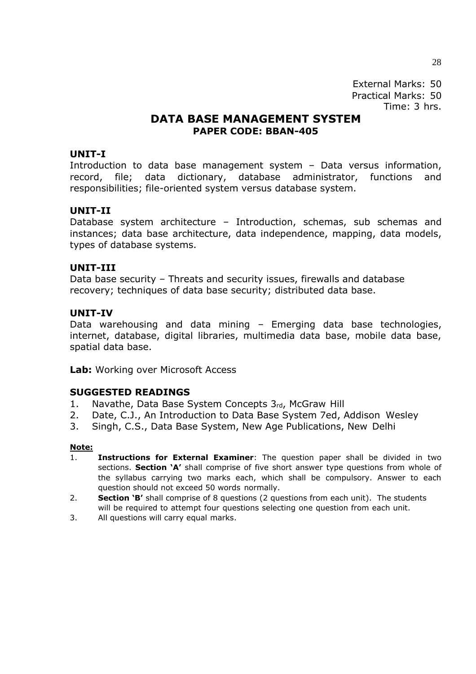External Marks: 50 Practical Marks: 50 Time: 3 hrs.

## **DATA BASE MANAGEMENT SYSTEM PAPER CODE: BBAN-405**

### **UNIT-I**

Introduction to data base management system – Data versus information, record, file; data dictionary, database administrator, functions and responsibilities; file-oriented system versus database system.

### **UNIT-II**

Database system architecture – Introduction, schemas, sub schemas and instances; data base architecture, data independence, mapping, data models, types of database systems.

### **UNIT-III**

Data base security – Threats and security issues, firewalls and database recovery; techniques of data base security; distributed data base.

### **UNIT-IV**

Data warehousing and data mining – Emerging data base technologies, internet, database, digital libraries, multimedia data base, mobile data base, spatial data base.

Lab: Working over Microsoft Access

### **SUGGESTED READINGS**

- 1. Navathe, Data Base System Concepts 3rd, McGraw Hill
- 2. Date, C.J., An Introduction to Data Base System 7ed, Addison Wesley
- 3. Singh, C.S., Data Base System, New Age Publications, New Delhi

- 1. **Instructions for External Examiner**: The question paper shall be divided in two sections. **Section 'A'** shall comprise of five short answer type questions from whole of the syllabus carrying two marks each, which shall be compulsory. Answer to each question should not exceed 50 words normally.
- 2. **Section 'B'** shall comprise of 8 questions (2 questions from each unit). The students will be required to attempt four questions selecting one question from each unit.
- 3. All questions will carry equal marks.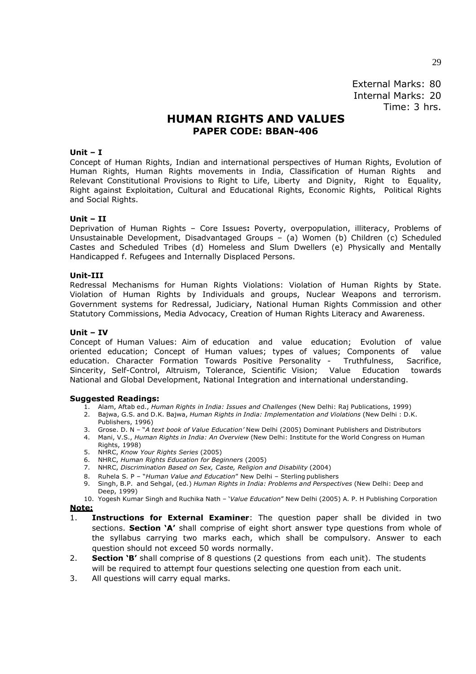# **HUMAN RIGHTS AND VALUES PAPER CODE: BBAN-406**

#### **Unit – I**

Concept of Human Rights, Indian and international perspectives of Human Rights, Evolution of Human Rights, Human Rights movements in India, Classification of Human Rights and Relevant Constitutional Provisions to Right to Life, Liberty and Dignity, Right to Equality, Right against Exploitation, Cultural and Educational Rights, Economic Rights, Political Rights and Social Rights.

#### **Unit – II**

Deprivation of Human Rights – Core Issues**:** Poverty, overpopulation, illiteracy, Problems of Unsustainable Development, Disadvantaged Groups – (a) Women (b) Children (c) Scheduled Castes and Scheduled Tribes (d) Homeless and Slum Dwellers (e) Physically and Mentally Handicapped f. Refugees and Internally Displaced Persons.

#### **Unit-III**

Redressal Mechanisms for Human Rights Violations: Violation of Human Rights by State. Violation of Human Rights by Individuals and groups, Nuclear Weapons and terrorism. Government systems for Redressal, Judiciary, National Human Rights Commission and other Statutory Commissions, Media Advocacy, Creation of Human Rights Literacy and Awareness.

#### **Unit – IV**

Concept of Human Values: Aim of education and value education; Evolution of value oriented education; Concept of Human values; types of values; Components of value education. Character Formation Towards Positive Personality - Truthfulness, Sacrifice, Sincerity, Self-Control, Altruism, Tolerance, Scientific Vision; Value Education towards National and Global Development, National Integration and international understanding.

#### **Suggested Readings:**

- 1. Alam, Aftab ed., *Human Rights in India: Issues and Challenges* (New Delhi: Raj Publications, 1999)
- 2. Bajwa, G.S. and D.K. Bajwa, *Human Rights in India: Implementation and Violations* (New Delhi : D.K. Publishers, 1996)
- 3. Grose. D. N "*A text book of Value Education'* New Delhi (2005) Dominant Publishers and Distributors
- 4. Mani, V.S., *Human Rights in India: An Overview* (New Delhi: Institute for the World Congress on Human Rights, 1998)
- 5. NHRC, *Know Your Rights Series* (2005)
- 6. NHRC, *Human Rights Education for Beginners* (2005)
- 7. NHRC, *Discrimination Based on Sex, Caste, Religion and Disability* (2004)
- 8. Ruhela S. P "*Human Value and Education"* New Delhi Sterling publishers<br>9. Singh, B.P. and Sehgal, (ed.) Human Rights in India: Problems and Perspecti
- 9. Singh, B.P. and Sehgal, (ed.) *Human Rights in India: Problems and Perspectives* (New Delhi: Deep and Deep, 1999)
- 10. Yogesh Kumar Singh and Ruchika Nath '*Value Education*" New Delhi (2005) A. P. H Publishing Corporation

- 1. **Instructions for External Examiner**: The question paper shall be divided in two sections. **Section 'A'** shall comprise of eight short answer type questions from whole of the syllabus carrying two marks each, which shall be compulsory. Answer to each question should not exceed 50 words normally.
- 2. **Section 'B'** shall comprise of 8 questions (2 questions from each unit). The students will be required to attempt four questions selecting one question from each unit.
- 3. All questions will carry equal marks.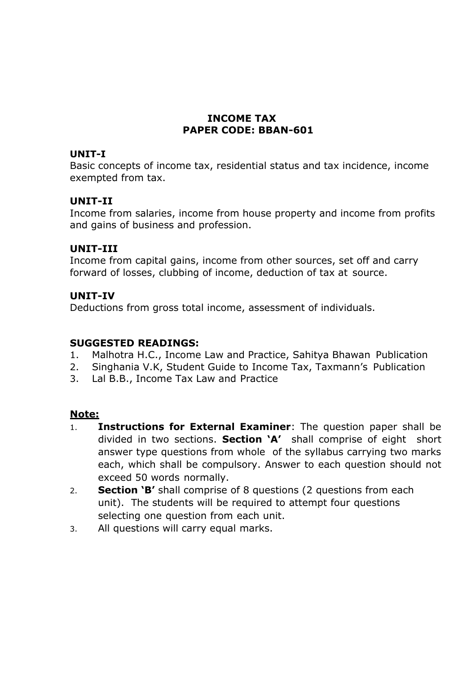# **INCOME TAX PAPER CODE: BBAN-601**

## **UNIT-I**

Basic concepts of income tax, residential status and tax incidence, income exempted from tax.

# **UNIT-II**

Income from salaries, income from house property and income from profits and gains of business and profession.

# **UNIT-III**

Income from capital gains, income from other sources, set off and carry forward of losses, clubbing of income, deduction of tax at source.

# **UNIT-IV**

Deductions from gross total income, assessment of individuals.

# **SUGGESTED READINGS:**

- 1. Malhotra H.C., Income Law and Practice, Sahitya Bhawan Publication
- 2. Singhania V.K, Student Guide to Income Tax, Taxmann's Publication
- 3. Lal B.B., Income Tax Law and Practice

- 1. **Instructions for External Examiner**: The question paper shall be divided in two sections. **Section 'A'** shall comprise of eight short answer type questions from whole of the syllabus carrying two marks each, which shall be compulsory. Answer to each question should not exceed 50 words normally.
- 2. **Section 'B'** shall comprise of 8 questions (2 questions from each unit). The students will be required to attempt four questions selecting one question from each unit.
- 3. All questions will carry equal marks.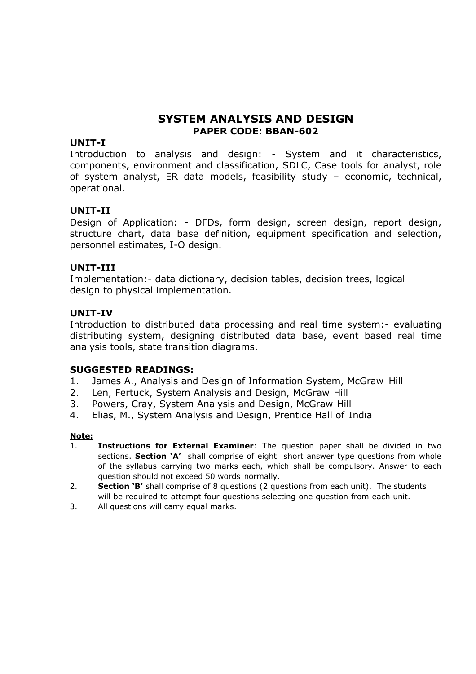# **SYSTEM ANALYSIS AND DESIGN PAPER CODE: BBAN-602**

### **UNIT-I**

Introduction to analysis and design: - System and it characteristics, components, environment and classification, SDLC, Case tools for analyst, role of system analyst, ER data models, feasibility study – economic, technical, operational.

### **UNIT-II**

Design of Application: - DFDs, form design, screen design, report design, structure chart, data base definition, equipment specification and selection, personnel estimates, I-O design.

### **UNIT-III**

Implementation:- data dictionary, decision tables, decision trees, logical design to physical implementation.

### **UNIT-IV**

Introduction to distributed data processing and real time system:- evaluating distributing system, designing distributed data base, event based real time analysis tools, state transition diagrams.

### **SUGGESTED READINGS:**

- 1. James A., Analysis and Design of Information System, McGraw Hill
- 2. Len, Fertuck, System Analysis and Design, McGraw Hill
- 3. Powers, Cray, System Analysis and Design, McGraw Hill
- 4. Elias, M., System Analysis and Design, Prentice Hall of India

- 1. **Instructions for External Examiner**: The question paper shall be divided in two sections. **Section 'A'** shall comprise of eight short answer type questions from whole of the syllabus carrying two marks each, which shall be compulsory. Answer to each question should not exceed 50 words normally.
- 2. **Section 'B'** shall comprise of 8 questions (2 questions from each unit). The students will be required to attempt four questions selecting one question from each unit.
- 3. All questions will carry equal marks.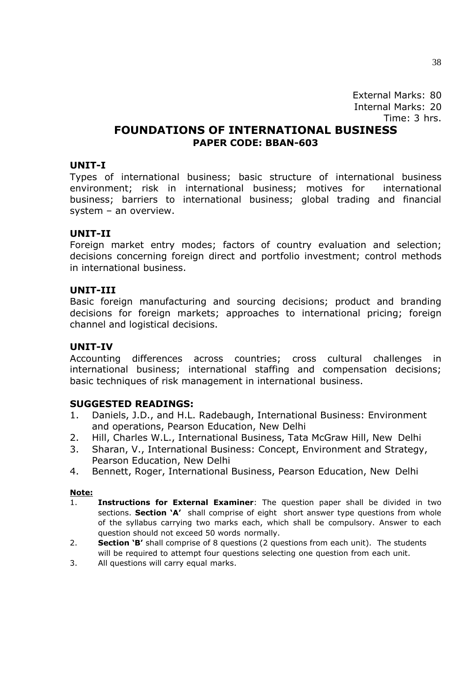# **FOUNDATIONS OF INTERNATIONAL BUSINESS PAPER CODE: BBAN-603**

### **UNIT-I**

Types of international business; basic structure of international business environment; risk in international business; motives for international business; barriers to international business; global trading and financial system – an overview.

### **UNIT-II**

Foreign market entry modes; factors of country evaluation and selection; decisions concerning foreign direct and portfolio investment; control methods in international business.

### **UNIT-III**

Basic foreign manufacturing and sourcing decisions; product and branding decisions for foreign markets; approaches to international pricing; foreign channel and logistical decisions.

### **UNIT-IV**

Accounting differences across countries; cross cultural challenges in international business; international staffing and compensation decisions; basic techniques of risk management in international business.

### **SUGGESTED READINGS:**

- 1. Daniels, J.D., and H.L. Radebaugh, International Business: Environment and operations, Pearson Education, New Delhi
- 2. Hill, Charles W.L., International Business, Tata McGraw Hill, New Delhi
- 3. Sharan, V., International Business: Concept, Environment and Strategy, Pearson Education, New Delhi
- 4. Bennett, Roger, International Business, Pearson Education, New Delhi

- 1. **Instructions for External Examiner**: The question paper shall be divided in two sections. **Section 'A'** shall comprise of eight short answer type questions from whole of the syllabus carrying two marks each, which shall be compulsory. Answer to each question should not exceed 50 words normally.
- 2. **Section 'B'** shall comprise of 8 questions (2 questions from each unit). The students will be required to attempt four questions selecting one question from each unit.
- 3. All questions will carry equal marks.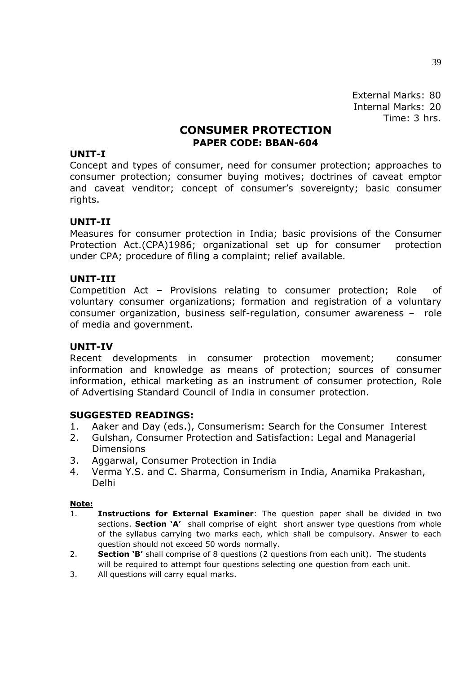## **CONSUMER PROTECTION PAPER CODE: BBAN-604**

### **UNIT-I**

Concept and types of consumer, need for consumer protection; approaches to consumer protection; consumer buying motives; doctrines of caveat emptor and caveat venditor; concept of consumer's sovereignty; basic consumer rights.

### **UNIT-II**

Measures for consumer protection in India; basic provisions of the Consumer Protection Act.(CPA)1986; organizational set up for consumer protection under CPA; procedure of filing a complaint; relief available.

### **UNIT-III**

Competition Act – Provisions relating to consumer protection; Role of voluntary consumer organizations; formation and registration of a voluntary consumer organization, business self-regulation, consumer awareness – role of media and government.

### **UNIT-IV**

Recent developments in consumer protection movement; consumer information and knowledge as means of protection; sources of consumer information, ethical marketing as an instrument of consumer protection, Role of Advertising Standard Council of India in consumer protection.

### **SUGGESTED READINGS:**

- 1. Aaker and Day (eds.), Consumerism: Search for the Consumer Interest
- 2. Gulshan, Consumer Protection and Satisfaction: Legal and Managerial Dimensions
- 3. Aggarwal, Consumer Protection in India
- 4. Verma Y.S. and C. Sharma, Consumerism in India, Anamika Prakashan, Delhi

- 1. **Instructions for External Examiner**: The question paper shall be divided in two sections. **Section 'A'** shall comprise of eight short answer type questions from whole of the syllabus carrying two marks each, which shall be compulsory. Answer to each question should not exceed 50 words normally.
- 2. **Section 'B'** shall comprise of 8 questions (2 questions from each unit). The students will be required to attempt four questions selecting one question from each unit.
- 3. All questions will carry equal marks.